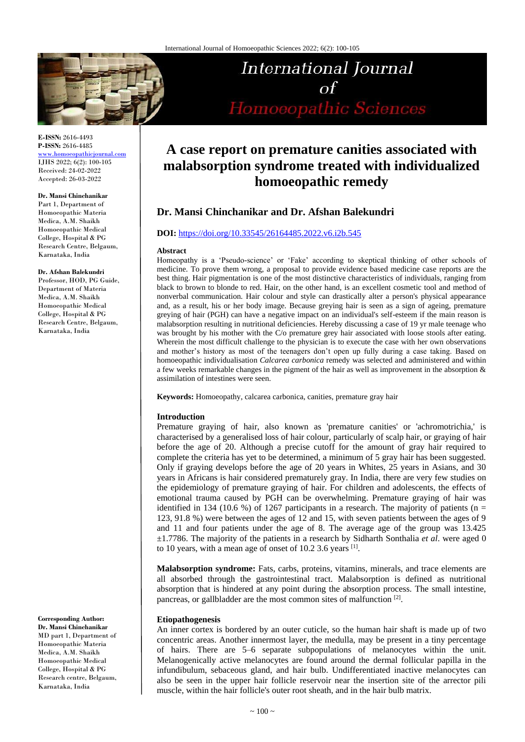

**E-ISSN:** 2616-4493 **P-ISSN:** 2616-4485 [www.homoeopathicjournal.com](file://Server/test/homoeopathicjournal/issue/vol%204/issue%201/www.homoeopathicjournal.com)

IJHS 2022; 6(2): 100-105 Received: 24-02-2022 Accepted: 26-03-2022

#### **Dr. Mansi Chinchanikar**

Part 1, Department of Homoeopathic Materia Medica, A.M. Shaikh Homoeopathic Medical College, Hospital & PG Research Centre, Belgaum, Karnataka, India

#### **Dr. Afshan Balekundri**

Professor, HOD, PG Guide, Department of Materia Medica, A.M. Shaikh Homoeopathic Medical College, Hospital & PG Research Centre, Belgaum, Karnataka, India

**Corresponding Author:**

**Dr. Mansi Chinchanikar** MD part 1, Department of Homoeopathic Materia Medica, A.M. Shaikh Homoeopathic Medical College, Hospital & PG Research centre, Belgaum, Karnataka, India

# International Journal  $\alpha f$ Homoeopathic Sciences

## **A case report on premature canities associated with malabsorption syndrome treated with individualized homoeopathic remedy**

## **Dr. Mansi Chinchanikar and Dr. Afshan Balekundri**

## **DOI:** <https://doi.org/10.33545/26164485.2022.v6.i2b.545>

#### **Abstract**

Homeopathy is a 'Pseudo-science' or 'Fake' according to skeptical thinking of other schools of medicine. To prove them wrong, a proposal to provide evidence based medicine case reports are the best thing. Hair pigmentation is one of the most distinctive characteristics of individuals, ranging from black to brown to blonde to red. Hair, on the other hand, is an excellent cosmetic tool and method of nonverbal communication. Hair colour and style can drastically alter a person's physical appearance and, as a result, his or her body image. Because greying hair is seen as a sign of ageing, premature greying of hair (PGH) can have a negative impact on an individual's self-esteem if the main reason is malabsorption resulting in nutritional deficiencies. Hereby discussing a case of 19 yr male teenage who was brought by his mother with the C/o premature grey hair associated with loose stools after eating. Wherein the most difficult challenge to the physician is to execute the case with her own observations and mother's history as most of the teenagers don't open up fully during a case taking. Based on homoeopathic individualisation *Calcarea carbonica* remedy was selected and administered and within a few weeks remarkable changes in the pigment of the hair as well as improvement in the absorption & assimilation of intestines were seen.

**Keywords:** Homoeopathy, calcarea carbonica, canities, premature gray hair

### **Introduction**

Premature graying of hair, also known as 'premature canities' or 'achromotrichia,' is characterised by a generalised loss of hair colour, particularly of scalp hair, or graying of hair before the age of 20. Although a precise cutoff for the amount of gray hair required to complete the criteria has yet to be determined, a minimum of 5 gray hair has been suggested. Only if graying develops before the age of 20 years in Whites, 25 years in Asians, and 30 years in Africans is hair considered prematurely gray. In India, there are very few studies on the epidemiology of premature graying of hair. For children and adolescents, the effects of emotional trauma caused by PGH can be overwhelming. Premature graying of hair was identified in 134 (10.6 %) of 1267 participants in a research. The majority of patients ( $n =$ 123, 91.8 %) were between the ages of 12 and 15, with seven patients between the ages of 9 and 11 and four patients under the age of 8. The average age of the group was 13.425 ±1.7786. The majority of the patients in a research by Sidharth Sonthalia *et al*. were aged 0 to 10 years, with a mean age of onset of  $10.2$  3.6 years  $^{[1]}$ .

**Malabsorption syndrome:** Fats, carbs, proteins, vitamins, minerals, and trace elements are all absorbed through the gastrointestinal tract. Malabsorption is defined as nutritional absorption that is hindered at any point during the absorption process. The small intestine, pancreas, or gallbladder are the most common sites of malfunction [2].

### **Etiopathogenesis**

An inner cortex is bordered by an outer cuticle, so the human hair shaft is made up of two concentric areas. Another innermost layer, the medulla, may be present in a tiny percentage of hairs. There are 5–6 separate subpopulations of melanocytes within the unit. Melanogenically active melanocytes are found around the dermal follicular papilla in the infundibulum, sebaceous gland, and hair bulb. Undifferentiated inactive melanocytes can also be seen in the upper hair follicle reservoir near the insertion site of the arrector pili muscle, within the hair follicle's outer root sheath, and in the hair bulb matrix.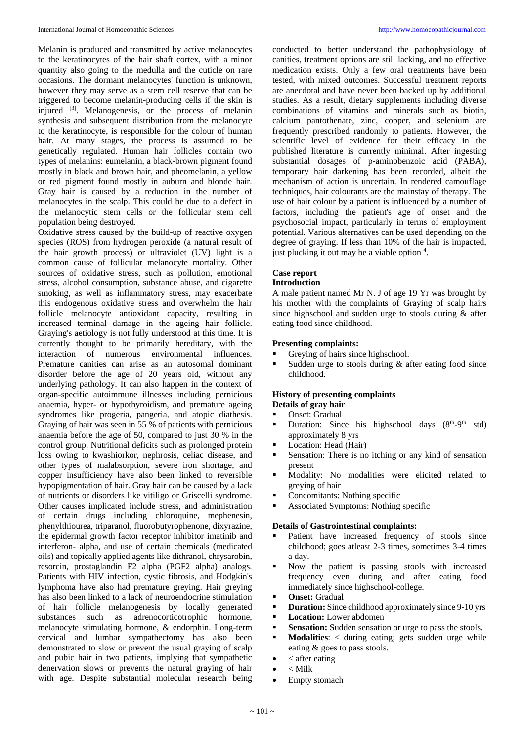Melanin is produced and transmitted by active melanocytes to the keratinocytes of the hair shaft cortex, with a minor quantity also going to the medulla and the cuticle on rare occasions. The dormant melanocytes' function is unknown, however they may serve as a stem cell reserve that can be triggered to become melanin-producing cells if the skin is injured <sup>[3]</sup>. Melanogenesis, or the process of melanin synthesis and subsequent distribution from the melanocyte to the keratinocyte, is responsible for the colour of human hair. At many stages, the process is assumed to be genetically regulated. Human hair follicles contain two types of melanins: eumelanin, a black-brown pigment found mostly in black and brown hair, and pheomelanin, a yellow or red pigment found mostly in auburn and blonde hair. Gray hair is caused by a reduction in the number of melanocytes in the scalp. This could be due to a defect in the melanocytic stem cells or the follicular stem cell population being destroyed.

Oxidative stress caused by the build-up of reactive oxygen species (ROS) from hydrogen peroxide (a natural result of the hair growth process) or ultraviolet (UV) light is a common cause of follicular melanocyte mortality. Other sources of oxidative stress, such as pollution, emotional stress, alcohol consumption, substance abuse, and cigarette smoking, as well as inflammatory stress, may exacerbate this endogenous oxidative stress and overwhelm the hair follicle melanocyte antioxidant capacity, resulting in increased terminal damage in the ageing hair follicle. Graying's aetiology is not fully understood at this time. It is currently thought to be primarily hereditary, with the interaction of numerous environmental influences. Premature canities can arise as an autosomal dominant disorder before the age of 20 years old, without any underlying pathology. It can also happen in the context of organ-specific autoimmune illnesses including pernicious anaemia, hyper- or hypothyroidism, and premature ageing syndromes like progeria, pangeria, and atopic diathesis. Graying of hair was seen in 55 % of patients with pernicious anaemia before the age of 50, compared to just 30 % in the control group. Nutritional deficits such as prolonged protein loss owing to kwashiorkor, nephrosis, celiac disease, and other types of malabsorption, severe iron shortage, and copper insufficiency have also been linked to reversible hypopigmentation of hair. Gray hair can be caused by a lack of nutrients or disorders like vitiligo or Griscelli syndrome. Other causes implicated include stress, and administration of certain drugs including chloroquine, mephenesin, phenylthiourea, triparanol, fluorobutyrophenone, dixyrazine, the epidermal growth factor receptor inhibitor imatinib and interferon- alpha, and use of certain chemicals (medicated oils) and topically applied agents like dithranol, chrysarobin, resorcin, prostaglandin F2 alpha (PGF2 alpha) analogs. Patients with HIV infection, cystic fibrosis, and Hodgkin's lymphoma have also had premature greying. Hair greying has also been linked to a lack of neuroendocrine stimulation of hair follicle melanogenesis by locally generated substances such as adrenocorticotrophic hormone, melanocyte stimulating hormone, & endorphin. Long-term cervical and lumbar sympathectomy has also been demonstrated to slow or prevent the usual graying of scalp and pubic hair in two patients, implying that sympathetic denervation slows or prevents the natural graying of hair with age. Despite substantial molecular research being

conducted to better understand the pathophysiology of canities, treatment options are still lacking, and no effective medication exists. Only a few oral treatments have been tested, with mixed outcomes. Successful treatment reports are anecdotal and have never been backed up by additional studies. As a result, dietary supplements including diverse combinations of vitamins and minerals such as biotin, calcium pantothenate, zinc, copper, and selenium are frequently prescribed randomly to patients. However, the scientific level of evidence for their efficacy in the published literature is currently minimal. After ingesting substantial dosages of p-aminobenzoic acid (PABA), temporary hair darkening has been recorded, albeit the mechanism of action is uncertain. In rendered camouflage techniques, hair colourants are the mainstay of therapy. The use of hair colour by a patient is influenced by a number of factors, including the patient's age of onset and the psychosocial impact, particularly in terms of employment potential. Various alternatives can be used depending on the degree of graying. If less than 10% of the hair is impacted, just plucking it out may be a viable option 4.

#### **Case report**

## **Introduction**

A male patient named Mr N. J of age 19 Yr was brought by his mother with the complaints of Graying of scalp hairs since highschool and sudden urge to stools during & after eating food since childhood.

#### **Presenting complaints:**

- Greying of hairs since highschool.
- Sudden urge to stools during & after eating food since childhood.

## **History of presenting complaints**

- **Details of gray hair** Onset: Gradual
	-
- **Duration:** Since his highschool days  $(8<sup>th</sup>-9<sup>th</sup>$  std) approximately 8 yrs
- **Location: Head (Hair)**
- Sensation: There is no itching or any kind of sensation present
- Modality: No modalities were elicited related to greying of hair
- Concomitants: Nothing specific  $\triangle$  secociated Symptoms: Nothing
- Associated Symptoms: Nothing specific

## **Details of Gastrointestinal complaints:**

- Patient have increased frequency of stools since childhood; goes atleast 2-3 times, sometimes 3-4 times a day.
- Now the patient is passing stools with increased frequency even during and after eating food immediately since highschool-college.
- **Onset:** Gradual
- **Duration:** Since childhood approximately since 9-10 yrs
- **Location:** Lower abdomen
- **Sensation:** Sudden sensation or urge to pass the stools.
- **Modalities:** < during eating; gets sudden urge while eating & goes to pass stools.
- $\bullet \quad$  < after eating
- $\bullet \quad <$  Milk
- Empty stomach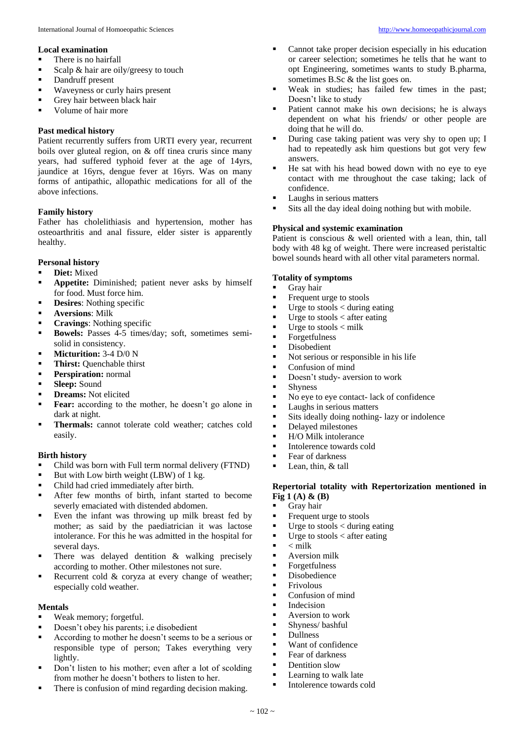- There is no hairfall
- Scalp & hair are oily/greesy to touch
- Dandruff present
- **Waveyness or curly hairs present**
- Grey hair between black hair
- Volume of hair more

## **Past medical history**

Patient recurrently suffers from URTI every year, recurrent boils over gluteal region, on & off tinea cruris since many years, had suffered typhoid fever at the age of 14yrs, jaundice at 16yrs, dengue fever at 16yrs. Was on many forms of antipathic, allopathic medications for all of the above infections.

## **Family history**

Father has cholelithiasis and hypertension, mother has osteoarthritis and anal fissure, elder sister is apparently healthy.

## **Personal history**

- **Diet:** Mixed
- **Appetite:** Diminished; patient never asks by himself for food. Must force him.
- **Property** Desires: Nothing specific
- **Aversions**: Milk
- **Cravings:** Nothing specific
- **Bowels:** Passes 4-5 times/day; soft, sometimes semisolid in consistency.
- **Micturition:** 3-4 D/0 N
- **Thirst:** Ouenchable thirst
- **Perspiration:** normal
- **Sleep:** Sound
- **Preams:** Not elicited
- **Fear:** according to the mother, he doesn't go alone in dark at night.
- **Thermals:** cannot tolerate cold weather; catches cold easily.

## **Birth history**

- Child was born with Full term normal delivery (FTND)
- But with Low birth weight (LBW) of  $1 \text{ kg}$ .
- Child had cried immediately after birth.
- After few months of birth, infant started to become severly emaciated with distended abdomen.
- Even the infant was throwing up milk breast fed by mother; as said by the paediatrician it was lactose intolerance. For this he was admitted in the hospital for several days.
- $\blacksquare$  There was delayed dentition & walking precisely according to mother. Other milestones not sure.
- Recurrent cold  $&$  coryza at every change of weather; especially cold weather.

## **Mentals**

- Weak memory; forgetful.
- Doesn't obey his parents; i.e disobedient
- According to mother he doesn't seems to be a serious or responsible type of person; Takes everything very lightly.
- Don't listen to his mother; even after a lot of scolding from mother he doesn't bothers to listen to her.
- There is confusion of mind regarding decision making.
- Cannot take proper decision especially in his education or career selection; sometimes he tells that he want to opt Engineering, sometimes wants to study B.pharma, sometimes B.Sc & the list goes on.
- Weak in studies; has failed few times in the past; Doesn't like to study
- Patient cannot make his own decisions; he is always dependent on what his friends/ or other people are doing that he will do.
- During case taking patient was very shy to open up; I had to repeatedly ask him questions but got very few answers.
- He sat with his head bowed down with no eye to eye contact with me throughout the case taking; lack of confidence.
- Laughs in serious matters
- Sits all the day ideal doing nothing but with mobile.

## **Physical and systemic examination**

Patient is conscious & well oriented with a lean, thin, tall body with 48 kg of weight. There were increased peristaltic bowel sounds heard with all other vital parameters normal.

## **Totality of symptoms**

- Gray hair
- Frequent urge to stools
- $\blacksquare$  Urge to stools < during eating
- $\blacksquare$  Urge to stools < after eating
- $\blacksquare$  Urge to stools  $\lt$  milk
- **Forgetfulness**
- Disobedient
- Not serious or responsible in his life
- **Confusion of mind**
- Doesn't study- aversion to work
- **Shyness**
- No eye to eye contact- lack of confidence
- **Laughs in serious matters**
- Sits ideally doing nothing- lazy or indolence
- Delayed milestones
- $H/O$  Milk intolerance
- Intolerence towards cold
- Fear of darkness<br>Fear thin  $\&$  tall
- Lean, thin, & tall

## **Repertorial totality with Repertorization mentioned in Fig 1 (A) & (B)**

# Gray hair<br>Frequent 1

- Frequent urge to stools<br>I Urge to stools  $\lt$  during
- Urge to stools  $\lt$  during eating<br>■ Urge to stools  $\lt$  after eating
- Urge to stools < after eating  $\leq$  milk
- $\blacksquare$  < milk<br>Aversie
- Aversion milk
- Forgetfulness<br>■ Disobedience
- $\blacksquare$  Disobedience
- $\blacksquare$  Frivolous
- Confusion of mind<br>• Indecision
- $\blacksquare$  Indecision
- Aversion to work<br>Numeral bashful
- **Shyness/bashful**<br>Dullness
- $\blacksquare$  Dullness
- Want of confidence
- **Fear of darkness**
- **•** Dentition slow
- **Learning to walk late**
- Intolerence towards cold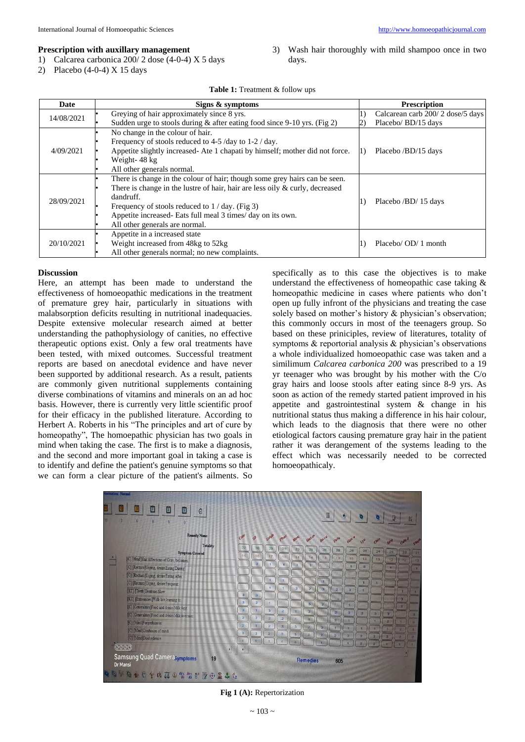#### **Prescription with auxillary management**

1) Calcarea carbonica 200/ 2 dose (4-0-4) X 5 days

2) Placebo (4-0-4) X 15 days

3) Wash hair thoroughly with mild shampoo once in two days.

### Table 1: Treatment & follow ups

| Date       | Signs & symptoms                                                                | <b>Prescription</b>              |
|------------|---------------------------------------------------------------------------------|----------------------------------|
| 14/08/2021 | Greying of hair approximately since 8 yrs.                                      | Calcarean carb 200/2 dose/5 days |
|            | Sudden urge to stools during $\&$ after eating food since 9-10 yrs. (Fig 2)     | Placebo/ BD/15 days              |
| 4/09/2021  | No change in the colour of hair.                                                | Placebo /BD/15 days              |
|            | Frequency of stools reduced to 4-5 /day to 1-2 / day.                           |                                  |
|            | Appetite slightly increased- Ate 1 chapati by himself; mother did not force.    |                                  |
|            | Weight-48 kg                                                                    |                                  |
|            | All other generals normal.                                                      |                                  |
| 28/09/2021 | There is change in the colour of hair; though some grey hairs can be seen.      | Placebo /BD/15 days              |
|            | There is change in the lustre of hair, hair are less oily $\&$ curly, decreased |                                  |
|            | dandruff.                                                                       |                                  |
|            | Frequency of stools reduced to $1 / day$ . (Fig 3)                              |                                  |
|            | Appetite increased- Eats full meal 3 times/ day on its own.                     |                                  |
|            | All other generals are normal.                                                  |                                  |
| 20/10/2021 | Appetite in a increased state                                                   | Placebo/OD/1 month               |
|            | Weight increased from 48kg to 52kg                                              |                                  |
|            | All other generals normal; no new complaints.                                   |                                  |

#### **Discussion**

Here, an attempt has been made to understand the effectiveness of homoeopathic medications in the treatment of premature grey hair, particularly in situations with malabsorption deficits resulting in nutritional inadequacies. Despite extensive molecular research aimed at better understanding the pathophysiology of canities, no effective therapeutic options exist. Only a few oral treatments have been tested, with mixed outcomes. Successful treatment reports are based on anecdotal evidence and have never been supported by additional research. As a result, patients are commonly given nutritional supplements containing diverse combinations of vitamins and minerals on an ad hoc basis. However, there is currently very little scientific proof for their efficacy in the published literature. According to Herbert A. Roberts in his "The principles and art of cure by homeopathy", The homoepathic physician has two goals in mind when taking the case. The first is to make a diagnosis, and the second and more important goal in taking a case is to identify and define the patient's genuine symptoms so that we can form a clear picture of the patient's ailments. So

specifically as to this case the objectives is to make understand the effectiveness of homeopathic case taking & homeopathic medicine in cases where patients who don't open up fully infront of the physicians and treating the case solely based on mother's history & physician's observation; this commonly occurs in most of the teenagers group. So based on these priniciples, review of literatures, totality of symptoms & reportorial analysis & physician's observations a whole individualized homoeopathic case was taken and a similimum *Calcarea carbonica 200* was prescribed to a 19 yr teenager who was brought by his mother with the C/o gray hairs and loose stools after eating since 8-9 yrs. As soon as action of the remedy started patient improved in his appetite and gastrointestinal system & change in his nutritional status thus making a difference in his hair colour, which leads to the diagnosis that there were no other etiological factors causing premature gray hair in the patient rather it was derangement of the systems leading to the effect which was necessarily needed to be corrected homoeopathicaly.



**Fig 1 (A):** Repertorization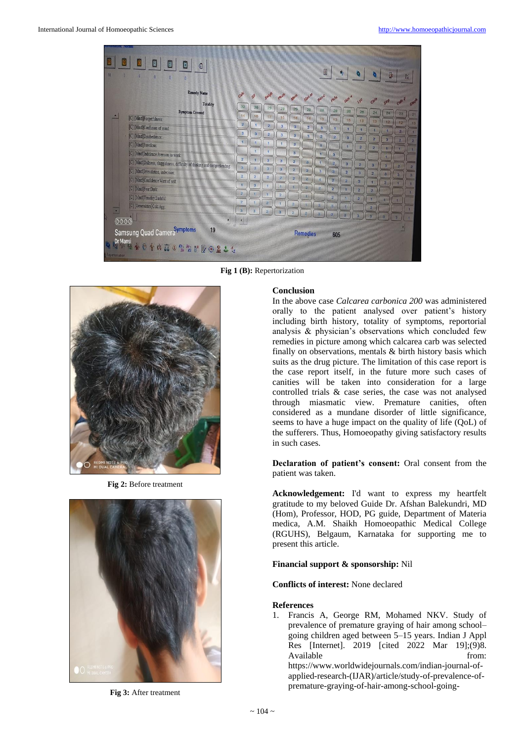

**Fig 1 (B):** Repertorization



**Fig 2:** Before treatment



**Fig 3:** After treatment

## **Conclusion**

In the above case *Calcarea carbonica 200* was administered orally to the patient analysed over patient's history including birth history, totality of symptoms, reportorial analysis & physician's observations which concluded few remedies in picture among which calcarea carb was selected finally on observations, mentals & birth history basis which suits as the drug picture. The limitation of this case report is the case report itself, in the future more such cases of canities will be taken into consideration for a large controlled trials & case series, the case was not analysed through miasmatic view. Premature canities, often considered as a mundane disorder of little significance, seems to have a huge impact on the quality of life (QoL) of the sufferers. Thus, Homoeopathy giving satisfactory results in such cases.

**Declaration of patient's consent:** Oral consent from the patient was taken.

**Acknowledgement:** I'd want to express my heartfelt gratitude to my beloved Guide Dr. Afshan Balekundri, MD (Hom), Professor, HOD, PG guide, Department of Materia medica, A.M. Shaikh Homoeopathic Medical College (RGUHS), Belgaum, Karnataka for supporting me to present this article.

## **Financial support & sponsorship:** Nil

**Conflicts of interest:** None declared

### **References**

1. Francis A, George RM, Mohamed NKV. Study of prevalence of premature graying of hair among school– going children aged between 5–15 years. Indian J Appl Res [Internet]. 2019 [cited 2022 Mar 19];(9)8. Available from: https://www.worldwidejournals.com/indian-journal-ofapplied-research-(IJAR)/article/study-of-prevalence-ofpremature-graying-of-hair-among-school-going